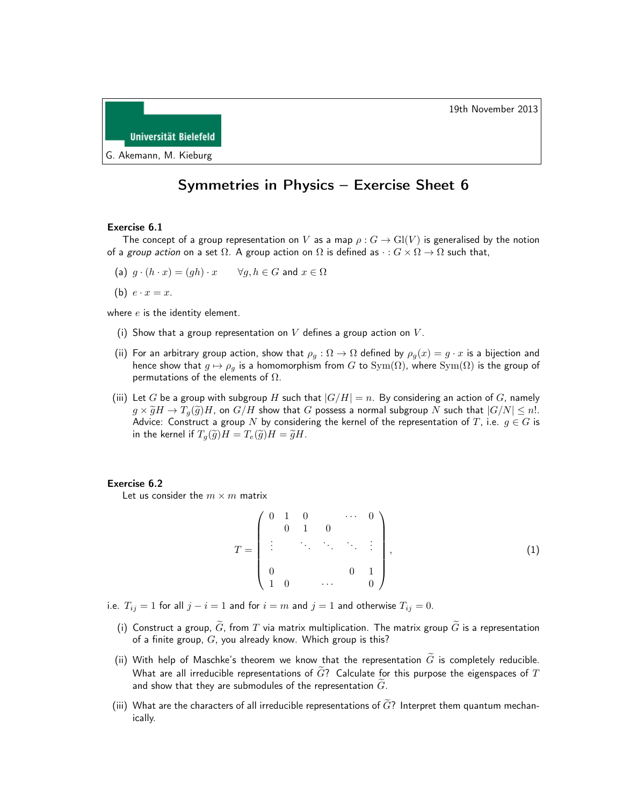



## Symmetries in Physics – Exercise Sheet 6

## Exercise 6.1

The concept of a group representation on V as a map  $\rho: G \to Gl(V)$  is generalised by the notion of a group action on a set  $\Omega$ . A group action on  $\Omega$  is defined as  $\cdot : G \times \Omega \to \Omega$  such that,

(a) 
$$
g \cdot (h \cdot x) = (gh) \cdot x
$$
  $\forall g, h \in G$  and  $x \in \Omega$ 

(b)  $e \cdot x = x$ .

where  $e$  is the identity element.

- (i) Show that a group representation on  $V$  defines a group action on  $V$ .
- (ii) For an arbitrary group action, show that  $\rho_q : \Omega \to \Omega$  defined by  $\rho_q(x) = g \cdot x$  is a bijection and hence show that  $g \mapsto \rho_g$  is a homomorphism from G to Sym( $\Omega$ ), where Sym( $\Omega$ ) is the group of permutations of the elements of  $\Omega$ .
- (iii) Let G be a group with subgroup H such that  $|G/H| = n$ . By considering an action of G, namely  $g \times \widetilde{g}H \to T_q(\widetilde{g})H$ , on  $G/H$  show that G possess a normal subgroup N such that  $|G/N| \leq n!$ . Advice: Construct a group N by considering the kernel of the representation of T, i.e.  $g \in G$  is in the kernel if  $T_q(\widetilde{g})H = T_e(\widetilde{g})H = \widetilde{g}H$ .

## Exercise 6.2

Let us consider the  $m \times m$  matrix

$$
T = \begin{pmatrix} 0 & 1 & 0 & & \cdots & 0 \\ & 0 & 1 & 0 & & \\ \vdots & & \ddots & \ddots & \ddots & \vdots \\ & & & & 0 & 1 \\ 0 & & & & & 0 \end{pmatrix},
$$
 (1)

- i.e.  $T_{ij} = 1$  for all  $j i = 1$  and for  $i = m$  and  $j = 1$  and otherwise  $T_{ij} = 0$ .
	- (i) Construct a group,  $\tilde{G}$ , from  $T$  via matrix multiplication. The matrix group  $\tilde{G}$  is a representation of a finite group,  $G$ , you already know. Which group is this?
	- (ii) With help of Maschke's theorem we know that the representation  $\tilde{G}$  is completely reducible. What are all irreducible representations of  $\tilde{G}$ ? Calculate for this purpose the eigenspaces of T and show that they are submodules of the representation  $\tilde{G}$ .
- (iii) What are the characters of all irreducible representations of  $\widetilde{G}$ ? Interpret them quantum mechanically.